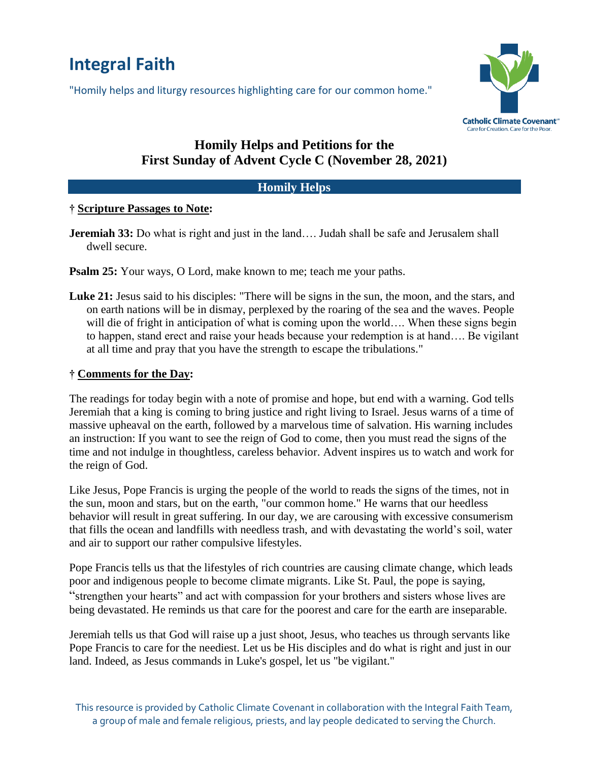# **Integral Faith**

"Homily helps and liturgy resources highlighting care for our common home."



## **Homily Helps and Petitions for the First Sunday of Advent Cycle C (November 28, 2021)**

### **Homily Helps**

#### **† Scripture Passages to Note:**

- **Jeremiah 33:** Do what is right and just in the land.... Judah shall be safe and Jerusalem shall dwell secure.
- **Psalm 25:** Your ways, O Lord, make known to me; teach me your paths.
- **Luke 21:** Jesus said to his disciples: "There will be signs in the sun, the moon, and the stars, and on earth nations will be in dismay, perplexed by the roaring of the sea and the waves. People will die of fright in anticipation of what is coming upon the world.... When these signs begin to happen, stand erect and raise your heads because your redemption is at hand…. Be vigilant at all time and pray that you have the strength to escape the tribulations."

#### **† Comments for the Day:**

The readings for today begin with a note of promise and hope, but end with a warning. God tells Jeremiah that a king is coming to bring justice and right living to Israel. Jesus warns of a time of massive upheaval on the earth, followed by a marvelous time of salvation. His warning includes an instruction: If you want to see the reign of God to come, then you must read the signs of the time and not indulge in thoughtless, careless behavior. Advent inspires us to watch and work for the reign of God.

Like Jesus, Pope Francis is urging the people of the world to reads the signs of the times, not in the sun, moon and stars, but on the earth, "our common home." He warns that our heedless behavior will result in great suffering. In our day, we are carousing with excessive consumerism that fills the ocean and landfills with needless trash, and with devastating the world's soil, water and air to support our rather compulsive lifestyles.

Pope Francis tells us that the lifestyles of rich countries are causing climate change, which leads poor and indigenous people to become climate migrants. Like St. Paul, the pope is saying, "strengthen your hearts" and act with compassion for your brothers and sisters whose lives are being devastated. He reminds us that care for the poorest and care for the earth are inseparable.

Jeremiah tells us that God will raise up a just shoot, Jesus, who teaches us through servants like Pope Francis to care for the neediest. Let us be His disciples and do what is right and just in our land. Indeed, as Jesus commands in Luke's gospel, let us "be vigilant."